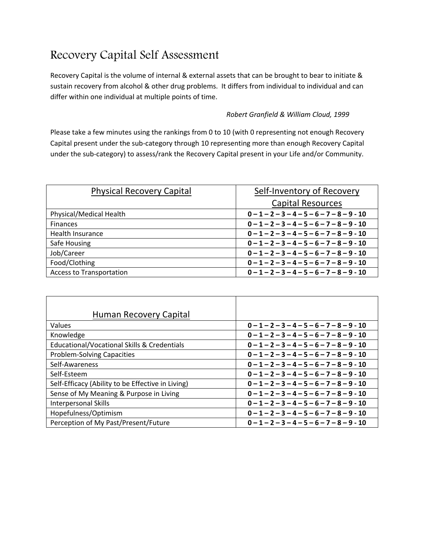## Recovery Capital Self Assessment

Recovery Capital is the volume of internal & external assets that can be brought to bear to initiate & sustain recovery from alcohol & other drug problems. It differs from individual to individual and can differ within one individual at multiple points of time.

## *Robert Granfield & William Cloud, 1999*

Please take a few minutes using the rankings from 0 to 10 (with 0 representing not enough Recovery Capital present under the sub-category through 10 representing more than enough Recovery Capital under the sub-category) to assess/rank the Recovery Capital present in your Life and/or Community.

| <b>Physical Recovery Capital</b> | Self-Inventory of Recovery                   |
|----------------------------------|----------------------------------------------|
|                                  | <b>Capital Resources</b>                     |
| Physical/Medical Health          | $0 - 1 - 2 - 3 - 4 - 5 - 6 - 7 - 8 - 9 - 10$ |
| <b>Finances</b>                  | $0 - 1 - 2 - 3 - 4 - 5 - 6 - 7 - 8 - 9 - 10$ |
| Health Insurance                 | $0 - 1 - 2 - 3 - 4 - 5 - 6 - 7 - 8 - 9 - 10$ |
| Safe Housing                     | $0 - 1 - 2 - 3 - 4 - 5 - 6 - 7 - 8 - 9 - 10$ |
| Job/Career                       | $0 - 1 - 2 - 3 - 4 - 5 - 6 - 7 - 8 - 9 - 10$ |
| Food/Clothing                    | $0 - 1 - 2 - 3 - 4 - 5 - 6 - 7 - 8 - 9 - 10$ |
| <b>Access to Transportation</b>  | $0 - 1 - 2 - 3 - 4 - 5 - 6 - 7 - 8 - 9 - 10$ |

| Human Recovery Capital                                 |                                              |
|--------------------------------------------------------|----------------------------------------------|
| Values                                                 | $0 - 1 - 2 - 3 - 4 - 5 - 6 - 7 - 8 - 9 - 10$ |
| Knowledge                                              | $0 - 1 - 2 - 3 - 4 - 5 - 6 - 7 - 8 - 9 - 10$ |
| <b>Educational/Vocational Skills &amp; Credentials</b> | $0 - 1 - 2 - 3 - 4 - 5 - 6 - 7 - 8 - 9 - 10$ |
| <b>Problem-Solving Capacities</b>                      | $0 - 1 - 2 - 3 - 4 - 5 - 6 - 7 - 8 - 9 - 10$ |
| Self-Awareness                                         | $0 - 1 - 2 - 3 - 4 - 5 - 6 - 7 - 8 - 9 - 10$ |
| Self-Esteem                                            | $0 - 1 - 2 - 3 - 4 - 5 - 6 - 7 - 8 - 9 - 10$ |
| Self-Efficacy (Ability to be Effective in Living)      | $0 - 1 - 2 - 3 - 4 - 5 - 6 - 7 - 8 - 9 - 10$ |
| Sense of My Meaning & Purpose in Living                | $0 - 1 - 2 - 3 - 4 - 5 - 6 - 7 - 8 - 9 - 10$ |
| <b>Interpersonal Skills</b>                            | $0 - 1 - 2 - 3 - 4 - 5 - 6 - 7 - 8 - 9 - 10$ |
| Hopefulness/Optimism                                   | $0 - 1 - 2 - 3 - 4 - 5 - 6 - 7 - 8 - 9 - 10$ |
| Perception of My Past/Present/Future                   | $0 - 1 - 2 - 3 - 4 - 5 - 6 - 7 - 8 - 9 - 10$ |